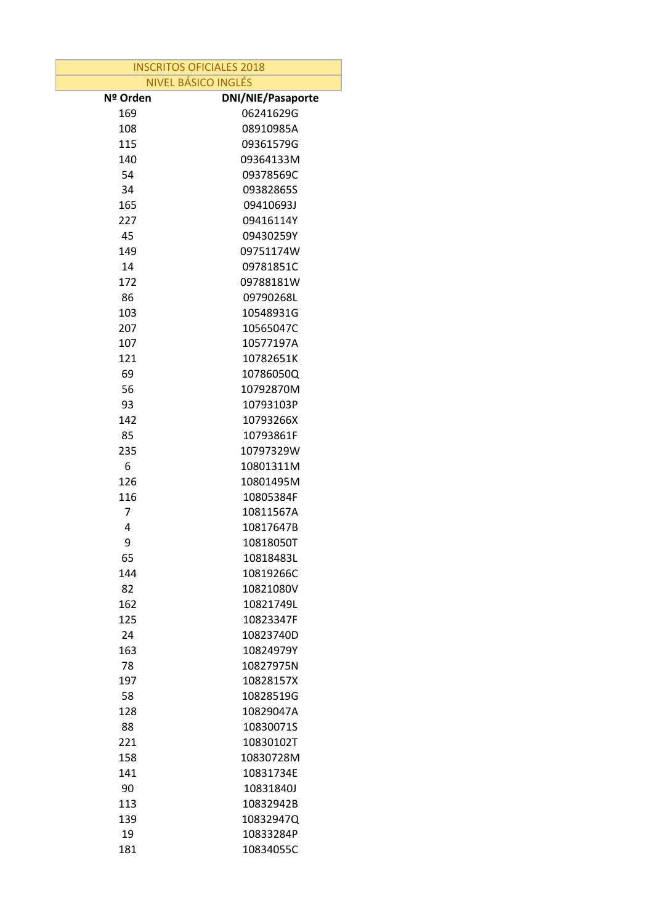| <b>INSCRITOS OFICIALES 2018</b> |                          |  |
|---------------------------------|--------------------------|--|
| <b>NIVEL BÁSICO INGLÉS</b>      |                          |  |
| Nº Orden                        | <b>DNI/NIE/Pasaporte</b> |  |
| 169                             | 06241629G                |  |
| 108                             | 08910985A                |  |
| 115                             | 09361579G                |  |
| 140                             | 09364133M                |  |
| 54                              | 09378569C                |  |
| 34                              | 09382865S                |  |
| 165                             | 09410693J                |  |
| 227                             | 09416114Y                |  |
| 45                              | 09430259Y                |  |
| 149                             | 09751174W                |  |
| 14                              | 09781851C                |  |
| 172                             | 09788181W                |  |
| 86                              | 09790268L                |  |
| 103                             | 10548931G                |  |
| 207                             | 10565047C                |  |
| 107                             | 10577197A                |  |
| 121                             | 10782651K                |  |
| 69                              | 10786050Q                |  |
| 56                              | 10792870M                |  |
| 93                              | 10793103P                |  |
| 142                             | 10793266X                |  |
| 85                              | 10793861F                |  |
| 235                             | 10797329W                |  |
| 6                               | 10801311M                |  |
| 126                             | 10801495M                |  |
| 116                             | 10805384F                |  |
| 7                               | 10811567A                |  |
| 4                               | 10817647B                |  |
| 9                               | 10818050T                |  |
| 65                              | 10818483L                |  |
| 144                             | 10819266C                |  |
| 82                              | 10821080V                |  |
| 162                             | 10821749L                |  |
| 125                             | 10823347F                |  |
| 24                              | 10823740D                |  |
| 163                             | 10824979Y                |  |
| 78                              | 10827975N                |  |
| 197                             | 10828157X                |  |
| 58                              | 10828519G                |  |
| 128                             | 10829047A                |  |
| 88                              | 10830071S                |  |
| 221                             | 10830102T                |  |
| 158                             | 10830728M                |  |
| 141                             | 10831734E                |  |
| 90                              | 10831840J                |  |
| 113                             | 10832942B                |  |
| 139                             | 10832947Q                |  |
| 19                              | 10833284P                |  |
| 181                             | 10834055C                |  |
|                                 |                          |  |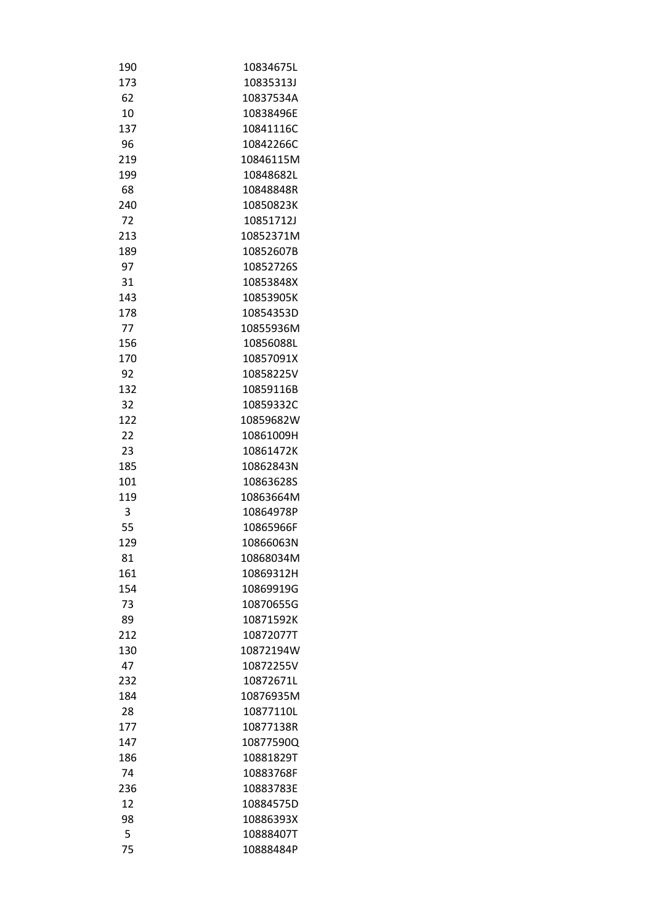| 190 | 10834675L |
|-----|-----------|
| 173 | 10835313J |
| 62  | 10837534A |
| 10  | 10838496E |
| 137 | 10841116C |
| 96  | 10842266C |
| 219 | 10846115M |
| 199 | 10848682L |
| 68  | 10848848R |
| 240 | 10850823K |
| 72  | 10851712J |
| 213 | 10852371M |
| 189 | 10852607B |
| 97  | 10852726S |
| 31  | 10853848X |
| 143 | 10853905K |
| 178 | 10854353D |
| 77  | 10855936M |
| 156 | 10856088L |
| 170 | 10857091X |
| 92  | 10858225V |
| 132 | 10859116B |
|     | 10859332C |
| 32  |           |
| 122 | 10859682W |
| 22  | 10861009H |
| 23  | 10861472K |
| 185 | 10862843N |
| 101 | 10863628S |
| 119 | 10863664M |
| 3   | 10864978P |
| 55  | 10865966F |
| 129 | 10866063N |
| 81  | 10868034M |
| 161 | 10869312H |
| 154 | 10869919G |
| 73  | 10870655G |
| 89  | 10871592K |
| 212 | 10872077T |
| 130 | 10872194W |
| 47  | 10872255V |
| 232 | 10872671L |
| 184 | 10876935M |
| 28  | 10877110L |
| 177 | 10877138R |
| 147 | 10877590Q |
| 186 | 10881829T |
| 74  | 10883768F |
| 236 | 10883783E |
| 12  | 10884575D |
| 98  | 10886393X |
| 5   | 10888407T |
| 75  | 10888484P |
|     |           |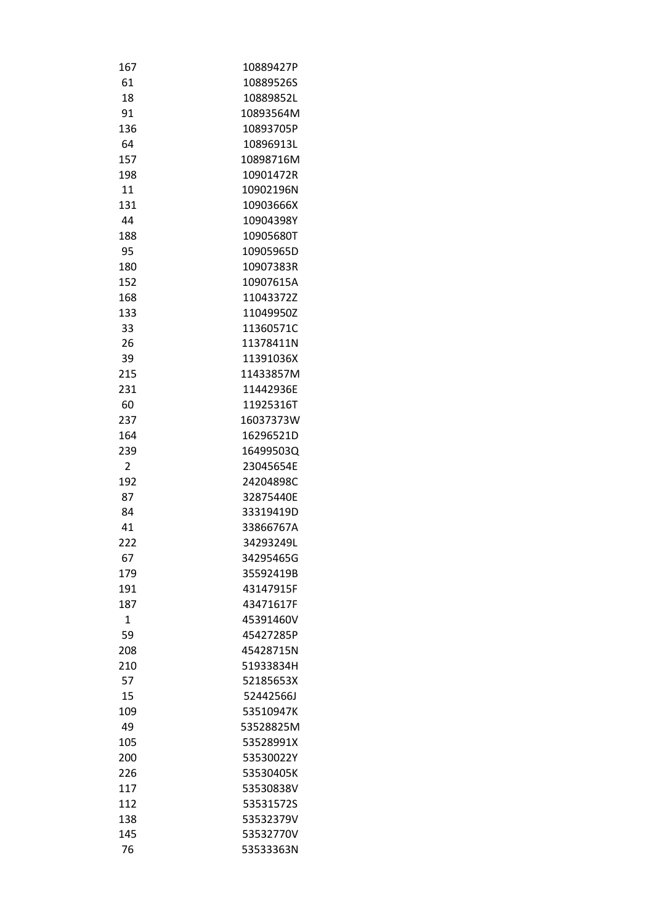| 167            | 10889427P              |
|----------------|------------------------|
| 61             | 10889526S              |
| 18             | 10889852L              |
| 91             | 10893564M              |
| 136            | 10893705P              |
| 64             | 10896913L              |
| 157            | 10898716M              |
| 198            | 10901472R              |
| 11             | 10902196N              |
| 131            | 10903666X              |
| 44             | 10904398Y              |
| 188            | 10905680T              |
| 95             | 10905965D              |
| 180            | 10907383R              |
| 152            | 10907615A              |
| 168            | 11043372Z              |
| 133            | 11049950Z              |
| 33             | 11360571C              |
| 26             | 11378411N              |
| 39             | 11391036X              |
| 215            | 11433857M              |
| 231            | 11442936E              |
| 60             | 11925316T              |
| 237            | 16037373W              |
| 164            | 16296521D              |
| 239            | 16499503Q              |
| $\overline{2}$ | 23045654E              |
| 192            | 24204898C              |
| 87             | 32875440E              |
|                |                        |
| 84<br>41       | 33319419D<br>33866767A |
|                | 34293249L              |
| 222            |                        |
| 67             | 34295465G              |
| 179            | 35592419B              |
| 191            | 43147915F              |
| 187            | 43471617F              |
| $\mathbf{1}$   | 45391460V              |
| 59             | 45427285P              |
| 208            | 45428715N              |
| 210            | 51933834H              |
| 57             | 52185653X              |
| 15             | 52442566J              |
| 109            | 53510947K              |
| 49             | 53528825M              |
| 105            | 53528991X              |
| 200            | 53530022Y              |
| 226            | 53530405K              |
| 117            | 53530838V              |
| 112            | 53531572S              |
| 138            | 53532379V              |
| 145            | 53532770V              |
| 76             | 53533363N              |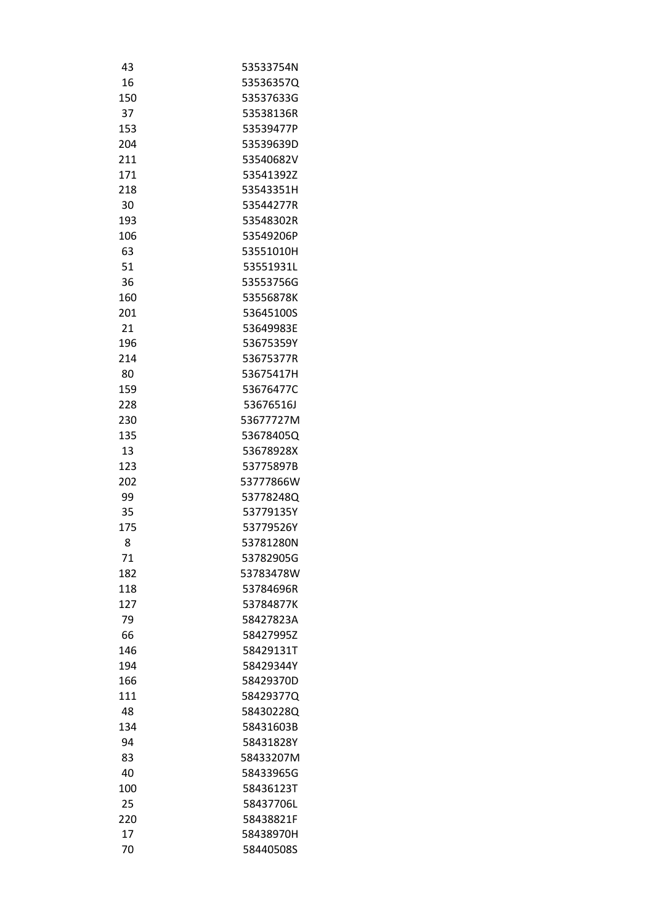| 43  | 53533754N |
|-----|-----------|
| 16  | 53536357Q |
| 150 | 53537633G |
| 37  | 53538136R |
| 153 | 53539477P |
| 204 | 53539639D |
| 211 | 53540682V |
| 171 | 53541392Z |
| 218 | 53543351H |
| 30  | 53544277R |
| 193 | 53548302R |
| 106 | 53549206P |
| 63  | 53551010H |
| 51  | 53551931L |
| 36  | 53553756G |
| 160 | 53556878K |
| 201 | 53645100S |
| 21  | 53649983E |
| 196 | 53675359Y |
| 214 | 53675377R |
| 80  | 53675417H |
| 159 | 53676477C |
| 228 | 53676516J |
| 230 | 53677727M |
| 135 | 53678405Q |
| 13  | 53678928X |
| 123 | 53775897B |
| 202 | 53777866W |
| 99  | 53778248Q |
| 35  | 53779135Y |
| 175 | 53779526Y |
| 8   | 53781280N |
| 71  | 53782905G |
| 182 | 53783478W |
|     |           |
| 118 | 53784696R |
| 127 | 53784877K |
| 79  | 58427823A |
| 66  | 58427995Z |
| 146 | 58429131T |
| 194 | 58429344Y |
| 166 | 58429370D |
| 111 | 58429377Q |
| 48  | 58430228Q |
| 134 | 58431603B |
| 94  | 58431828Y |
| 83  | 58433207M |
| 40  | 58433965G |
| 100 | 58436123T |
| 25  | 58437706L |
| 220 | 58438821F |
| 17  | 58438970H |
| 70  | 58440508S |